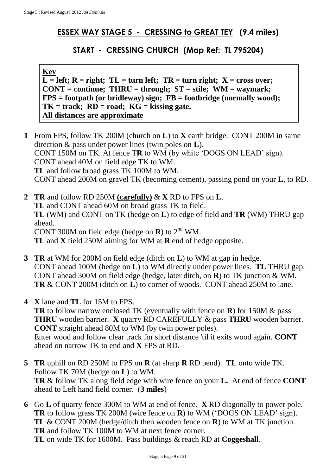## **ESSEX WAY STAGE 5 - CRESSING to GREAT TEY (9.4 miles)**

## **START - CRESSING CHURCH (Map Ref: TL 795204)**

## **Key**

 $\overline{L}$  = left;  $R$  = right;  $TL$  = turn left;  $TR$  = turn right;  $X$  = cross over; **CONT = continue; THRU = through; ST = stile; WM = waymark; FPS = footpath (or bridleway) sign; FB = footbridge (normally wood); TK = track; RD = road; KG = kissing gate. All distances are approximate**

- **1** From FPS, follow TK 200M (church on **L**) to **X** earth bridge. CONT 200M in same direction & pass under power lines (twin poles on **L**). CONT 150M on TK. At fence T**R** to WM (by white 'DOGS ON LEAD' sign). CONT ahead 40M on field edge TK to WM. **TL** and follow broad grass TK 100M to WM. CONT ahead 200M on gravel TK (becoming cement), passing pond on your **L**, to RD.
- **2 TR** and follow RD 250M **(carefully)** & **X** RD to FPS on **L**. **TL** and CONT ahead 60M on broad grass TK to field. **TL** (WM) and CONT on TK (hedge on **L**) to edge of field and **TR** (WM) THRU gap ahead. CONT 300M on field edge (hedge on  $\mathbf{R}$ ) to  $2^{\text{nd}}$  WM. **TL** and **X** field 250M aiming for WM at **R** end of hedge opposite.
- **3 TR** at WM for 200M on field edge (ditch on **L**) to WM at gap in hedge. CONT ahead 100M (hedge on **L**) to WM directly under power lines. **TL** THRU gap. CONT ahead 300M on field edge (hedge, later ditch, on **R**) to TK junction & WM. **TR** & CONT 200M (ditch on **L**) to corner of woods. CONT ahead 250M to lane.
- **4 X** lane and **TL** for 15M to FPS. **TR** to follow narrow enclosed TK (eventually with fence on **R**) for 150M & pass **THRU** wooden barrier. **X** quarry RD CAREFULLY & pass **THRU** wooden barrier. **CONT** straight ahead 80M to WM (by twin power poles). Enter wood and follow clear track for short distance 'til it exits wood again. **CONT**  ahead on narrow TK to end and **X** FPS at RD.
- **5 TR** uphill on RD 250M to FPS on **R** (at sharp **R** RD bend). **TL** onto wide TK. Follow TK 70M (hedge on **L**) to WM. **TR** & follow TK along field edge with wire fence on your **L.** At end of fence **CONT**  ahead to Left hand field corner. (**3 miles**)
- **6** Go **L** of quarry fence 300M to WM at end of fence. **X** RD diagonally to power pole. **TR** to follow grass TK 200M (wire fence on **R**) to WM ('DOGS ON LEAD' sign). **TL** & CONT 200M (hedge/ditch then wooden fence on **R**) to WM at TK junction. **TR** and follow TK 100M to WM at next fence corner. **TL** on wide TK for 1600M. Pass buildings & reach RD at **Coggeshall**.